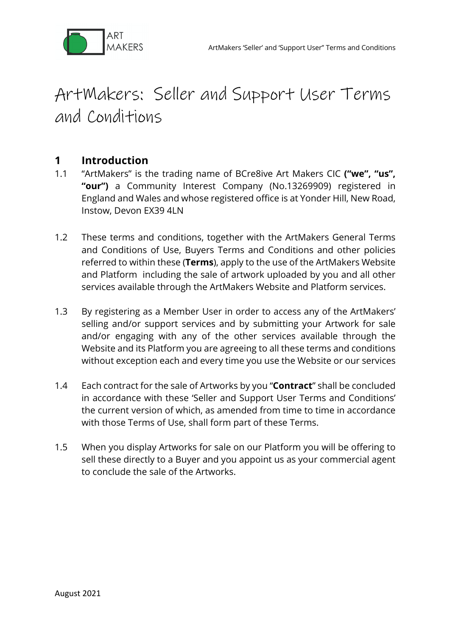

# ArtMakers: Seller and Support User Terms and Conditions

## **1 Introduction**

- 1.1 "ArtMakers" is the trading name of BCre8ive Art Makers CIC **("we", "us", "our")** a Community Interest Company (No.13269909) registered in England and Wales and whose registered office is at Yonder Hill, New Road, Instow, Devon EX39 4LN
- 1.2 These terms and conditions, together with the ArtMakers General Terms and Conditions of Use, Buyers Terms and Conditions and other policies referred to within these (**Terms**), apply to the use of the ArtMakers Website and Platform including the sale of artwork uploaded by you and all other services available through the ArtMakers Website and Platform services.
- 1.3 By registering as a Member User in order to access any of the ArtMakers' selling and/or support services and by submitting your Artwork for sale and/or engaging with any of the other services available through the Website and its Platform you are agreeing to all these terms and conditions without exception each and every time you use the Website or our services
- 1.4 Each contract for the sale of Artworks by you "**Contract**" shall be concluded in accordance with these 'Seller and Support User Terms and Conditions' the current version of which, as amended from time to time in accordance with those Terms of Use, shall form part of these Terms.
- 1.5 When you display Artworks for sale on our Platform you will be offering to sell these directly to a Buyer and you appoint us as your commercial agent to conclude the sale of the Artworks.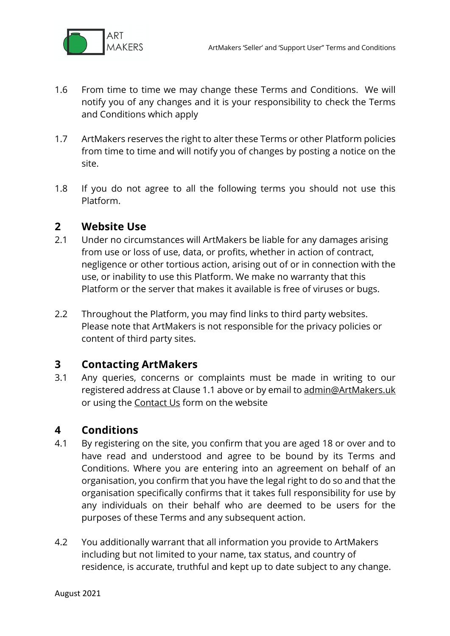

- 1.6 From time to time we may change these Terms and Conditions. We will notify you of any changes and it is your responsibility to check the Terms and Conditions which apply
- 1.7 ArtMakers reserves the right to alter these Terms or other Platform policies from time to time and will notify you of changes by posting a notice on the site.
- 1.8 If you do not agree to all the following terms you should not use this Platform.

#### **2 Website Use**

- 2.1 Under no circumstances will ArtMakers be liable for any damages arising from use or loss of use, data, or profits, whether in action of contract, negligence or other tortious action, arising out of or in connection with the use, or inability to use this Platform. We make no warranty that this Platform or the server that makes it available is free of viruses or bugs.
- 2.2 Throughout the Platform, you may find links to third party websites. Please note that ArtMakers is not responsible for the privacy policies or content of third party sites.

## **3 Contacting ArtMakers**

3.1 Any queries, concerns or complaints must be made in writing to our registered address at Clause 1.1 above or by email to admin@ArtMakers.uk or using the **Contact Us** form on the website

## **4 Conditions**

- 4.1 By registering on the site, you confirm that you are aged 18 or over and to have read and understood and agree to be bound by its Terms and Conditions. Where you are entering into an agreement on behalf of an organisation, you confirm that you have the legal right to do so and that the organisation specifically confirms that it takes full responsibility for use by any individuals on their behalf who are deemed to be users for the purposes of these Terms and any subsequent action.
- 4.2 You additionally warrant that all information you provide to ArtMakers including but not limited to your name, tax status, and country of residence, is accurate, truthful and kept up to date subject to any change.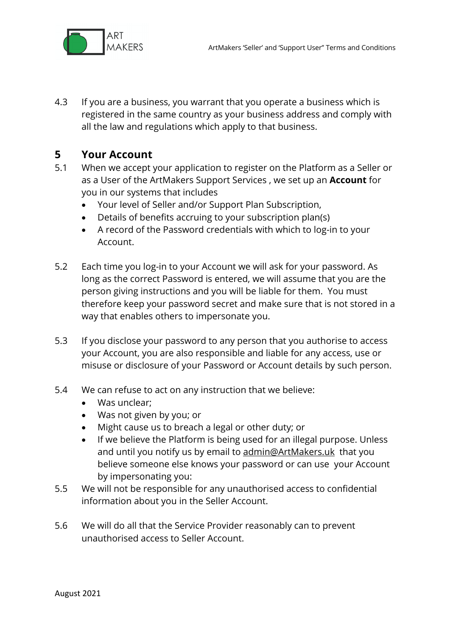

4.3 If you are a business, you warrant that you operate a business which is registered in the same country as your business address and comply with all the law and regulations which apply to that business.

## **5 Your Account**

- 5.1 When we accept your application to register on the Platform as a Seller or as a User of the ArtMakers Support Services , we set up an **Account** for you in our systems that includes
	- Your level of Seller and/or Support Plan Subscription,
	- Details of benefits accruing to your subscription plan(s)
	- A record of the Password credentials with which to log-in to your Account.
- 5.2 Each time you log-in to your Account we will ask for your password. As long as the correct Password is entered, we will assume that you are the person giving instructions and you will be liable for them. You must therefore keep your password secret and make sure that is not stored in a way that enables others to impersonate you.
- 5.3 If you disclose your password to any person that you authorise to access your Account, you are also responsible and liable for any access, use or misuse or disclosure of your Password or Account details by such person.
- 5.4 We can refuse to act on any instruction that we believe:
	- Was unclear;
	- Was not given by you; or
	- Might cause us to breach a legal or other duty; or
	- If we believe the Platform is being used for an illegal purpose. Unless and until you notify us by email to admin@ArtMakers.uk that you believe someone else knows your password or can use your Account by impersonating you:
- 5.5 We will not be responsible for any unauthorised access to confidential information about you in the Seller Account.
- 5.6 We will do all that the Service Provider reasonably can to prevent unauthorised access to Seller Account.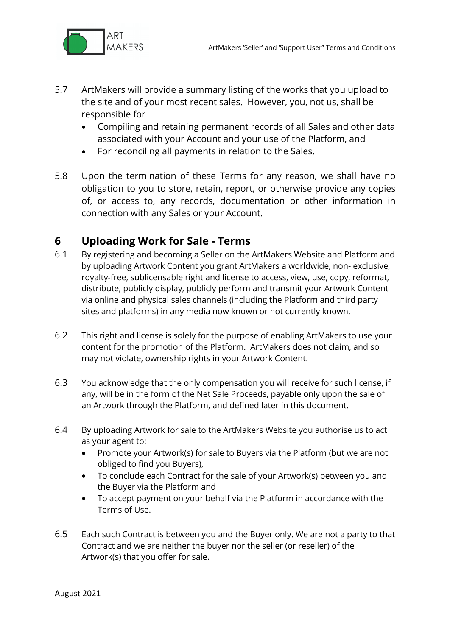

- 5.7 ArtMakers will provide a summary listing of the works that you upload to the site and of your most recent sales. However, you, not us, shall be responsible for
	- Compiling and retaining permanent records of all Sales and other data associated with your Account and your use of the Platform, and
	- For reconciling all payments in relation to the Sales.
- 5.8 Upon the termination of these Terms for any reason, we shall have no obligation to you to store, retain, report, or otherwise provide any copies of, or access to, any records, documentation or other information in connection with any Sales or your Account.

## **6 Uploading Work for Sale - Terms**

- 6.1 By registering and becoming a Seller on the ArtMakers Website and Platform and by uploading Artwork Content you grant ArtMakers a worldwide, non- exclusive, royalty-free, sublicensable right and license to access, view, use, copy, reformat, distribute, publicly display, publicly perform and transmit your Artwork Content via online and physical sales channels (including the Platform and third party sites and platforms) in any media now known or not currently known.
- 6.2 This right and license is solely for the purpose of enabling ArtMakers to use your content for the promotion of the Platform. ArtMakers does not claim, and so may not violate, ownership rights in your Artwork Content.
- 6.3 You acknowledge that the only compensation you will receive for such license, if any, will be in the form of the Net Sale Proceeds, payable only upon the sale of an Artwork through the Platform, and defined later in this document.
- 6.4 By uploading Artwork for sale to the ArtMakers Website you authorise us to act as your agent to:
	- Promote your Artwork(s) for sale to Buyers via the Platform (but we are not obliged to find you Buyers),
	- To conclude each Contract for the sale of your Artwork(s) between you and the Buyer via the Platform and
	- To accept payment on your behalf via the Platform in accordance with the Terms of Use.
- 6.5 Each such Contract is between you and the Buyer only. We are not a party to that Contract and we are neither the buyer nor the seller (or reseller) of the Artwork(s) that you offer for sale.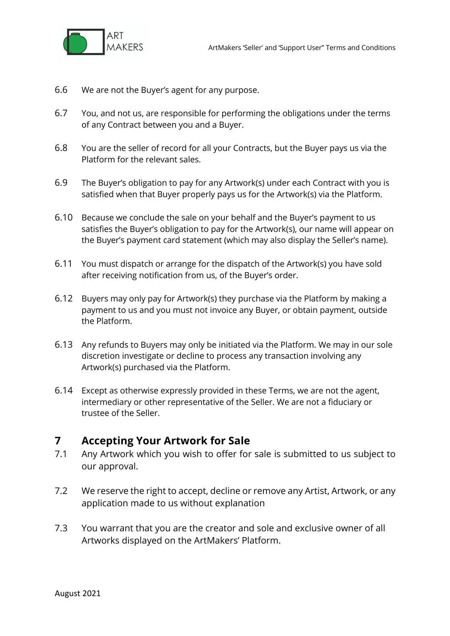

- 6.6 We are not the Buyer's agent for any purpose.
- 6.7 You, and not us, are responsible for performing the obligations under the terms of any Contract between you and a Buyer.
- 6.8 You are the seller of record for all your Contracts, but the Buyer pays us via the Platform for the relevant sales.
- 6.9 The Buyer's obligation to pay for any Artwork(s) under each Contract with you is satisfied when that Buyer properly pays us for the Artwork(s) via the Platform.
- 6.10 Because we conclude the sale on your behalf and the Buyer's payment to us satisfies the Buyer's obligation to pay for the Artwork(s), our name will appear on the Buyer's payment card statement (which may also display the Seller's name).
- 6.11 You must dispatch or arrange for the dispatch of the Artwork(s) you have sold after receiving notification from us, of the Buyer's order.
- 6.12 Buyers may only pay for Artwork(s) they purchase via the Platform by making a payment to us and you must not invoice any Buyer, or obtain payment, outside the Platform.
- 6.13 Any refunds to Buyers may only be initiated via the Platform. We may in our sole discretion investigate or decline to process any transaction involving any Artwork(s) purchased via the Platform.
- 6.14 Except as otherwise expressly provided in these Terms, we are not the agent, intermediary or other representative of the Seller. We are not a fiduciary or trustee of the Seller.

## **7 Accepting Your Artwork for Sale**

- 7.1 Any Artwork which you wish to offer for sale is submitted to us subject to our approval.
- 7.2 We reserve the right to accept, decline or remove any Artist, Artwork, or any application made to us without explanation
- 7.3 You warrant that you are the creator and sole and exclusive owner of all Artworks displayed on the ArtMakers' Platform.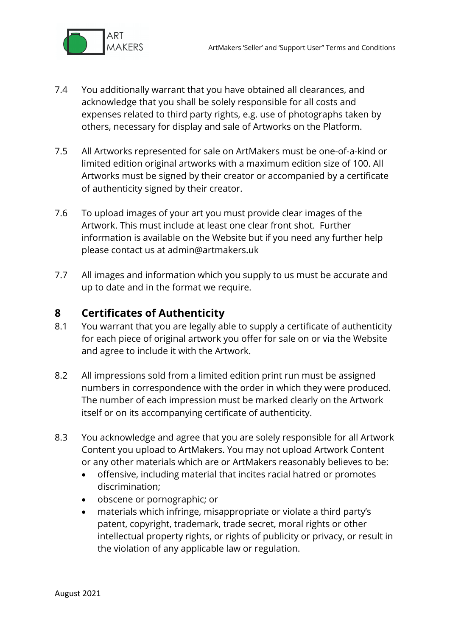

- 7.4 You additionally warrant that you have obtained all clearances, and acknowledge that you shall be solely responsible for all costs and expenses related to third party rights, e.g. use of photographs taken by others, necessary for display and sale of Artworks on the Platform.
- 7.5 All Artworks represented for sale on ArtMakers must be one-of-a-kind or limited edition original artworks with a maximum edition size of 100. All Artworks must be signed by their creator or accompanied by a certificate of authenticity signed by their creator.
- 7.6 To upload images of your art you must provide clear images of the Artwork. This must include at least one clear front shot. Further information is available on the Website but if you need any further help please contact us at admin@artmakers.uk
- 7.7 All images and information which you supply to us must be accurate and up to date and in the format we require.

## **8 Certificates of Authenticity**

- 8.1 You warrant that you are legally able to supply a certificate of authenticity for each piece of original artwork you offer for sale on or via the Website and agree to include it with the Artwork.
- 8.2 All impressions sold from a limited edition print run must be assigned numbers in correspondence with the order in which they were produced. The number of each impression must be marked clearly on the Artwork itself or on its accompanying certificate of authenticity.
- 8.3 You acknowledge and agree that you are solely responsible for all Artwork Content you upload to ArtMakers. You may not upload Artwork Content or any other materials which are or ArtMakers reasonably believes to be:
	- offensive, including material that incites racial hatred or promotes discrimination;
	- obscene or pornographic; or
	- materials which infringe, misappropriate or violate a third party's patent, copyright, trademark, trade secret, moral rights or other intellectual property rights, or rights of publicity or privacy, or result in the violation of any applicable law or regulation.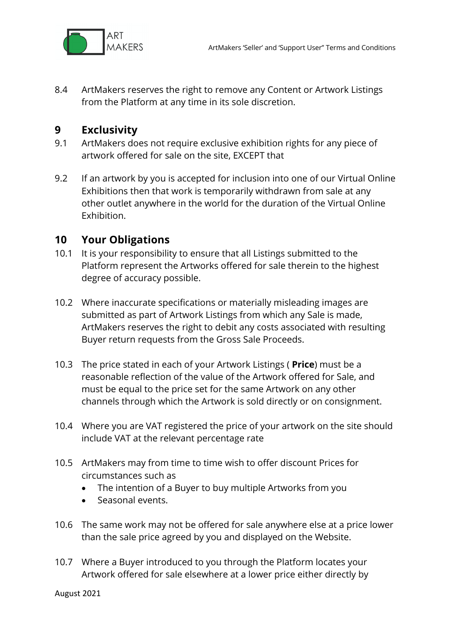

8.4 ArtMakers reserves the right to remove any Content or Artwork Listings from the Platform at any time in its sole discretion.

## **9 Exclusivity**

- 9.1 ArtMakers does not require exclusive exhibition rights for any piece of artwork offered for sale on the site, EXCEPT that
- 9.2 If an artwork by you is accepted for inclusion into one of our Virtual Online Exhibitions then that work is temporarily withdrawn from sale at any other outlet anywhere in the world for the duration of the Virtual Online Exhibition.

## **10 Your Obligations**

- 10.1 It is your responsibility to ensure that all Listings submitted to the Platform represent the Artworks offered for sale therein to the highest degree of accuracy possible.
- 10.2 Where inaccurate specifications or materially misleading images are submitted as part of Artwork Listings from which any Sale is made, ArtMakers reserves the right to debit any costs associated with resulting Buyer return requests from the Gross Sale Proceeds.
- 10.3 The price stated in each of your Artwork Listings ( **Price**) must be a reasonable reflection of the value of the Artwork offered for Sale, and must be equal to the price set for the same Artwork on any other channels through which the Artwork is sold directly or on consignment.
- 10.4 Where you are VAT registered the price of your artwork on the site should include VAT at the relevant percentage rate
- 10.5 ArtMakers may from time to time wish to offer discount Prices for circumstances such as
	- The intention of a Buyer to buy multiple Artworks from you
	- Seasonal events.
- 10.6 The same work may not be offered for sale anywhere else at a price lower than the sale price agreed by you and displayed on the Website.
- 10.7 Where a Buyer introduced to you through the Platform locates your Artwork offered for sale elsewhere at a lower price either directly by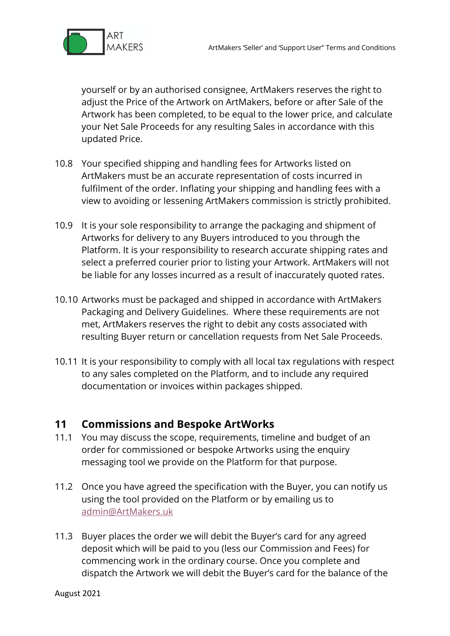

yourself or by an authorised consignee, ArtMakers reserves the right to adjust the Price of the Artwork on ArtMakers, before or after Sale of the Artwork has been completed, to be equal to the lower price, and calculate your Net Sale Proceeds for any resulting Sales in accordance with this updated Price.

- 10.8 Your specified shipping and handling fees for Artworks listed on ArtMakers must be an accurate representation of costs incurred in fulfilment of the order. Inflating your shipping and handling fees with a view to avoiding or lessening ArtMakers commission is strictly prohibited.
- 10.9 It is your sole responsibility to arrange the packaging and shipment of Artworks for delivery to any Buyers introduced to you through the Platform. It is your responsibility to research accurate shipping rates and select a preferred courier prior to listing your Artwork. ArtMakers will not be liable for any losses incurred as a result of inaccurately quoted rates.
- 10.10 Artworks must be packaged and shipped in accordance with ArtMakers Packaging and Delivery Guidelines. Where these requirements are not met, ArtMakers reserves the right to debit any costs associated with resulting Buyer return or cancellation requests from Net Sale Proceeds.
- 10.11 It is your responsibility to comply with all local tax regulations with respect to any sales completed on the Platform, and to include any required documentation or invoices within packages shipped.

## **11 Commissions and Bespoke ArtWorks**

- 11.1 You may discuss the scope, requirements, timeline and budget of an order for commissioned or bespoke Artworks using the enquiry messaging tool we provide on the Platform for that purpose.
- 11.2 Once you have agreed the specification with the Buyer, you can notify us using the tool provided on the Platform or by emailing us to admin@ArtMakers.uk
- 11.3 Buyer places the order we will debit the Buyer's card for any agreed deposit which will be paid to you (less our Commission and Fees) for commencing work in the ordinary course. Once you complete and dispatch the Artwork we will debit the Buyer's card for the balance of the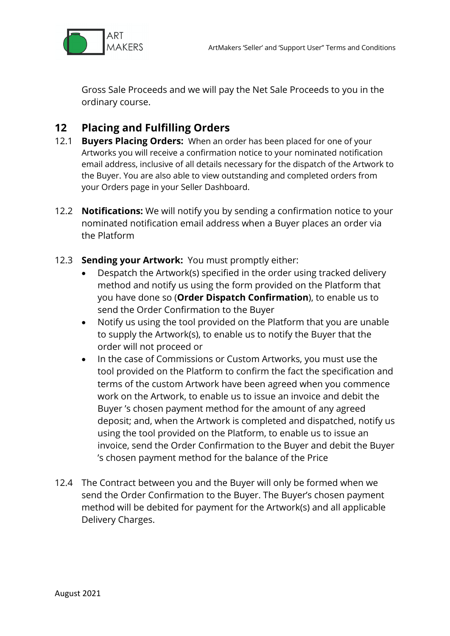

Gross Sale Proceeds and we will pay the Net Sale Proceeds to you in the ordinary course.

## **12 Placing and Fulfilling Orders**

- 12.1 **Buyers Placing Orders:** When an order has been placed for one of your Artworks you will receive a confirmation notice to your nominated notification email address, inclusive of all details necessary for the dispatch of the Artwork to the Buyer. You are also able to view outstanding and completed orders from your Orders page in your Seller Dashboard.
- 12.2 **Notifications:** We will notify you by sending a confirmation notice to your nominated notification email address when a Buyer places an order via the Platform
- 12.3 **Sending your Artwork:** You must promptly either:
	- Despatch the Artwork(s) specified in the order using tracked delivery method and notify us using the form provided on the Platform that you have done so (**Order Dispatch Confirmation**), to enable us to send the Order Confirmation to the Buyer
	- Notify us using the tool provided on the Platform that you are unable to supply the Artwork(s), to enable us to notify the Buyer that the order will not proceed or
	- In the case of Commissions or Custom Artworks, you must use the tool provided on the Platform to confirm the fact the specification and terms of the custom Artwork have been agreed when you commence work on the Artwork, to enable us to issue an invoice and debit the Buyer 's chosen payment method for the amount of any agreed deposit; and, when the Artwork is completed and dispatched, notify us using the tool provided on the Platform, to enable us to issue an invoice, send the Order Confirmation to the Buyer and debit the Buyer 's chosen payment method for the balance of the Price
- 12.4 The Contract between you and the Buyer will only be formed when we send the Order Confirmation to the Buyer. The Buyer's chosen payment method will be debited for payment for the Artwork(s) and all applicable Delivery Charges.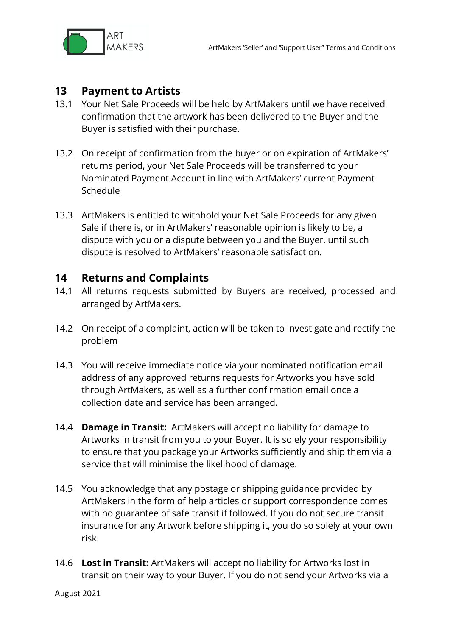

## **13 Payment to Artists**

- 13.1 Your Net Sale Proceeds will be held by ArtMakers until we have received confirmation that the artwork has been delivered to the Buyer and the Buyer is satisfied with their purchase.
- 13.2 On receipt of confirmation from the buyer or on expiration of ArtMakers' returns period, your Net Sale Proceeds will be transferred to your Nominated Payment Account in line with ArtMakers' current Payment Schedule
- 13.3 ArtMakers is entitled to withhold your Net Sale Proceeds for any given Sale if there is, or in ArtMakers' reasonable opinion is likely to be, a dispute with you or a dispute between you and the Buyer, until such dispute is resolved to ArtMakers' reasonable satisfaction.

#### **14 Returns and Complaints**

- 14.1 All returns requests submitted by Buyers are received, processed and arranged by ArtMakers.
- 14.2 On receipt of a complaint, action will be taken to investigate and rectify the problem
- 14.3 You will receive immediate notice via your nominated notification email address of any approved returns requests for Artworks you have sold through ArtMakers, as well as a further confirmation email once a collection date and service has been arranged.
- 14.4 **Damage in Transit:** ArtMakers will accept no liability for damage to Artworks in transit from you to your Buyer. It is solely your responsibility to ensure that you package your Artworks sufficiently and ship them via a service that will minimise the likelihood of damage.
- 14.5 You acknowledge that any postage or shipping guidance provided by ArtMakers in the form of help articles or support correspondence comes with no guarantee of safe transit if followed. If you do not secure transit insurance for any Artwork before shipping it, you do so solely at your own risk.
- 14.6 **Lost in Transit:** ArtMakers will accept no liability for Artworks lost in transit on their way to your Buyer. If you do not send your Artworks via a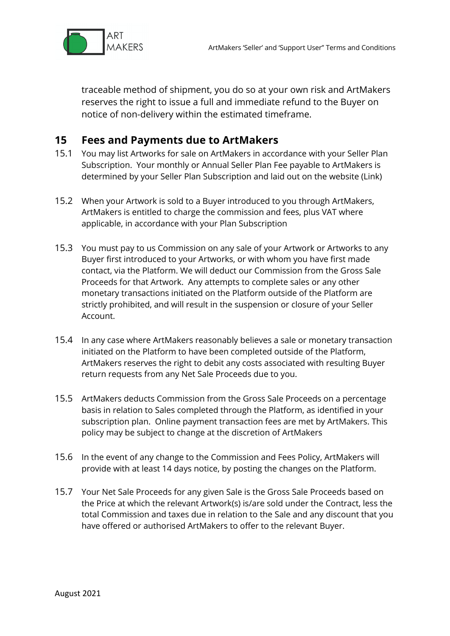

traceable method of shipment, you do so at your own risk and ArtMakers reserves the right to issue a full and immediate refund to the Buyer on notice of non-delivery within the estimated timeframe.

## **15 Fees and Payments due to ArtMakers**

- 15.1 You may list Artworks for sale on ArtMakers in accordance with your Seller Plan Subscription. Your monthly or Annual Seller Plan Fee payable to ArtMakers is determined by your Seller Plan Subscription and laid out on the website (Link)
- 15.2 When your Artwork is sold to a Buyer introduced to you through ArtMakers, ArtMakers is entitled to charge the commission and fees, plus VAT where applicable, in accordance with your Plan Subscription
- 15.3 You must pay to us Commission on any sale of your Artwork or Artworks to any Buyer first introduced to your Artworks, or with whom you have first made contact, via the Platform. We will deduct our Commission from the Gross Sale Proceeds for that Artwork. Any attempts to complete sales or any other monetary transactions initiated on the Platform outside of the Platform are strictly prohibited, and will result in the suspension or closure of your Seller Account.
- 15.4 In any case where ArtMakers reasonably believes a sale or monetary transaction initiated on the Platform to have been completed outside of the Platform, ArtMakers reserves the right to debit any costs associated with resulting Buyer return requests from any Net Sale Proceeds due to you.
- 15.5 ArtMakers deducts Commission from the Gross Sale Proceeds on a percentage basis in relation to Sales completed through the Platform, as identified in your subscription plan. Online payment transaction fees are met by ArtMakers. This policy may be subject to change at the discretion of ArtMakers
- 15.6 In the event of any change to the Commission and Fees Policy, ArtMakers will provide with at least 14 days notice, by posting the changes on the Platform.
- 15.7 Your Net Sale Proceeds for any given Sale is the Gross Sale Proceeds based on the Price at which the relevant Artwork(s) is/are sold under the Contract, less the total Commission and taxes due in relation to the Sale and any discount that you have offered or authorised ArtMakers to offer to the relevant Buyer.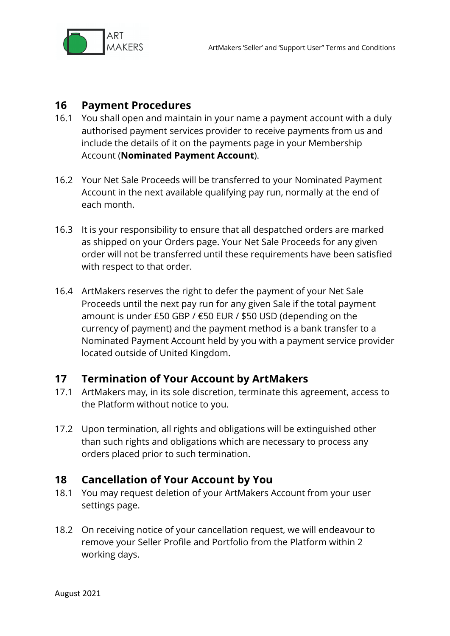

## **16 Payment Procedures**

- 16.1 You shall open and maintain in your name a payment account with a duly authorised payment services provider to receive payments from us and include the details of it on the payments page in your Membership Account (**Nominated Payment Account**).
- 16.2 Your Net Sale Proceeds will be transferred to your Nominated Payment Account in the next available qualifying pay run, normally at the end of each month.
- 16.3 It is your responsibility to ensure that all despatched orders are marked as shipped on your Orders page. Your Net Sale Proceeds for any given order will not be transferred until these requirements have been satisfied with respect to that order.
- 16.4 ArtMakers reserves the right to defer the payment of your Net Sale Proceeds until the next pay run for any given Sale if the total payment amount is under £50 GBP / €50 EUR / \$50 USD (depending on the currency of payment) and the payment method is a bank transfer to a Nominated Payment Account held by you with a payment service provider located outside of United Kingdom.

## **17 Termination of Your Account by ArtMakers**

- 17.1 ArtMakers may, in its sole discretion, terminate this agreement, access to the Platform without notice to you.
- 17.2 Upon termination, all rights and obligations will be extinguished other than such rights and obligations which are necessary to process any orders placed prior to such termination.

## **18 Cancellation of Your Account by You**

- 18.1 You may request deletion of your ArtMakers Account from your user settings page.
- 18.2 On receiving notice of your cancellation request, we will endeavour to remove your Seller Profile and Portfolio from the Platform within 2 working days.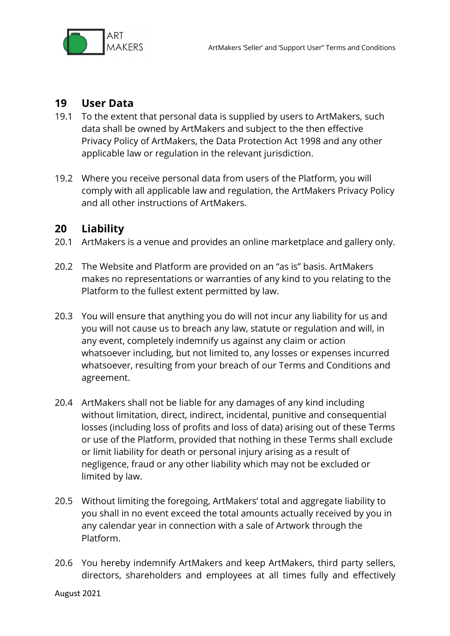

## **19 User Data**

- 19.1 To the extent that personal data is supplied by users to ArtMakers, such data shall be owned by ArtMakers and subject to the then effective Privacy Policy of ArtMakers, the Data Protection Act 1998 and any other applicable law or regulation in the relevant jurisdiction.
- 19.2 Where you receive personal data from users of the Platform, you will comply with all applicable law and regulation, the ArtMakers Privacy Policy and all other instructions of ArtMakers.

#### **20 Liability**

- 20.1 ArtMakers is a venue and provides an online marketplace and gallery only.
- 20.2 The Website and Platform are provided on an "as is" basis. ArtMakers makes no representations or warranties of any kind to you relating to the Platform to the fullest extent permitted by law.
- 20.3 You will ensure that anything you do will not incur any liability for us and you will not cause us to breach any law, statute or regulation and will, in any event, completely indemnify us against any claim or action whatsoever including, but not limited to, any losses or expenses incurred whatsoever, resulting from your breach of our Terms and Conditions and agreement.
- 20.4 ArtMakers shall not be liable for any damages of any kind including without limitation, direct, indirect, incidental, punitive and consequential losses (including loss of profits and loss of data) arising out of these Terms or use of the Platform, provided that nothing in these Terms shall exclude or limit liability for death or personal injury arising as a result of negligence, fraud or any other liability which may not be excluded or limited by law.
- 20.5 Without limiting the foregoing, ArtMakers' total and aggregate liability to you shall in no event exceed the total amounts actually received by you in any calendar year in connection with a sale of Artwork through the Platform.
- 20.6 You hereby indemnify ArtMakers and keep ArtMakers, third party sellers, directors, shareholders and employees at all times fully and effectively